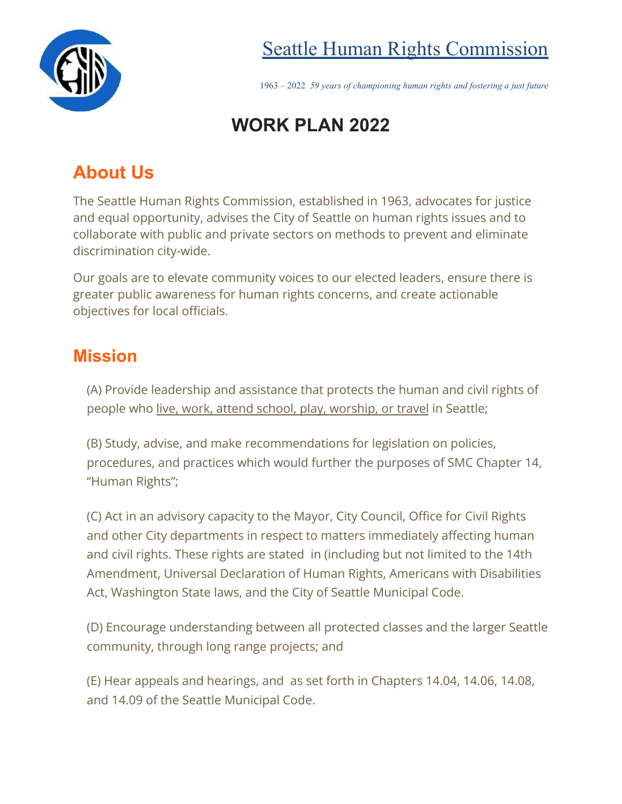

# Seattle Human Rights Commission

1963 – 2022 *59 years of championing human rights and fostering a just future*

# **WORK PLAN 2022**

# **About Us**

The Seattle Human Rights Commission, established in 1963, advocates for justice and equal opportunity, advises the City of Seattle on human rights issues and to collaborate with public and private sectors on methods to prevent and eliminate discrimination city-wide.

Our goals are to elevate community voices to our elected leaders, ensure there is greater public awareness for human rights concerns, and create actionable objectives for local officials.

## **Mission**

(A) Provide leadership and assistance that protects the human and civil rights of people who live, work, attend school, play, worship, or travel in Seattle;

(B) Study, advise, and make recommendations for legislation on policies, procedures, and practices which would further the purposes of SMC Chapter 14, "Human Rights";

(C) Act in an advisory capacity to the Mayor, City Council, Office for Civil Rights and other City departments in respect to matters immediately affecting human and civil rights. These rights are stated in (including but not limited to the 14th Amendment, Universal Declaration of Human Rights, Americans with Disabilities Act, Washington State laws, and the City of Seattle Municipal Code.

(D) Encourage understanding between all protected classes and the larger Seattle community, through long range projects; and

(E) Hear appeals and hearings, and as set forth in Chapters 14.04, 14.06, 14.08, and 14.09 of the Seattle Municipal Code.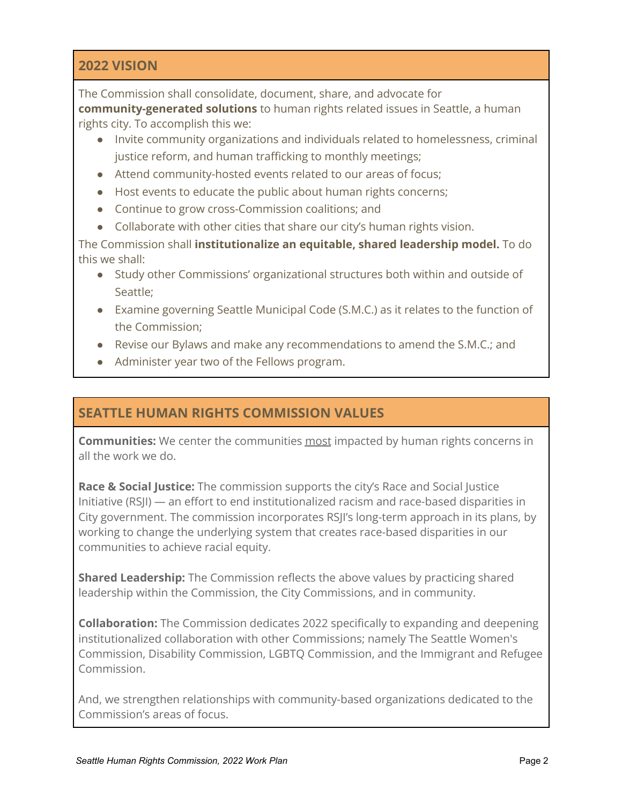### **2022 VISION**

The Commission shall consolidate, document, share, and advocate for **community-generated solutions** to human rights related issues in Seattle, a human rights city. To accomplish this we:

- Invite community organizations and individuals related to homelessness, criminal justice reform, and human trafficking to monthly meetings;
- Attend community-hosted events related to our areas of focus;
- Host events to educate the public about human rights concerns;
- Continue to grow cross-Commission coalitions; and
- Collaborate with other cities that share our city's human rights vision.

The Commission shall **institutionalize an equitable, shared leadership model.** To do this we shall:

- Study other Commissions' organizational structures both within and outside of Seattle;
- Examine governing Seattle Municipal Code (S.M.C.) as it relates to the function of the Commission;
- Revise our Bylaws and make any recommendations to amend the S.M.C.; and
- Administer year two of the Fellows program.

### **SEATTLE HUMAN RIGHTS COMMISSION VALUES**

**Communities:** We center the communities most impacted by human rights concerns in all the work we do.

**Race & Social Justice:** The commission supports the city's Race and Social Justice Initiative (RSJI) — an effort to end institutionalized racism and race-based disparities in City government. The commission incorporates RSJI's long-term approach in its plans, by working to change the underlying system that creates race-based disparities in our communities to achieve racial equity.

**Shared Leadership:** The Commission reflects the above values by practicing shared leadership within the Commission, the City Commissions, and in community.

**Collaboration:** The Commission dedicates 2022 specifically to expanding and deepening institutionalized collaboration with other Commissions; namely The Seattle Women's Commission, Disability Commission, LGBTQ Commission, and the Immigrant and Refugee Commission.

And, we strengthen relationships with community-based organizations dedicated to the Commission's areas of focus.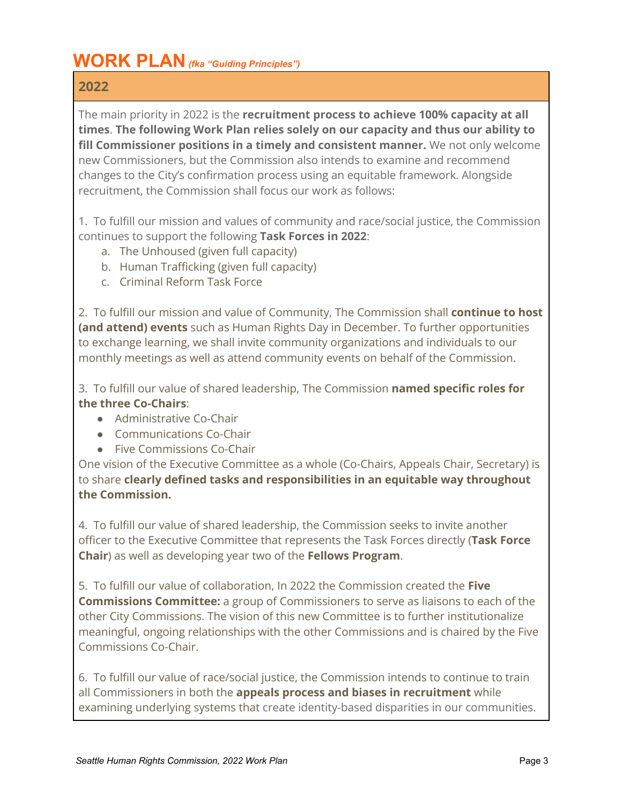# **WORK PLAN***(fka "Guiding Principles")*

### **2022**

The main priority in 2022 is the **recruitment process to achieve 100% capacity at all times**. **The following Work Plan relies solely on our capacity and thus our ability to fill Commissioner positions in a timely and consistent manner.** We not only welcome new Commissioners, but the Commission also intends to examine and recommend changes to the City's confirmation process using an equitable framework. Alongside recruitment, the Commission shall focus our work as follows:

1. To fulfill our mission and values of community and race/social justice, the Commission continues to support the following **Task Forces in 2022**:

- a. The Unhoused (given full capacity)
- b. Human Trafficking (given full capacity)
- c. Criminal Reform Task Force

2. To fulfill our mission and value of Community, The Commission shall **continue to host (and attend) events** such as Human Rights Day in December. To further opportunities to exchange learning, we shall invite community organizations and individuals to our monthly meetings as well as attend community events on behalf of the Commission.

3. To fulfill our value of shared leadership, The Commission **named specific roles for the three Co-Chairs**:

- Administrative Co-Chair
- Communications Co-Chair
- Five Commissions Co-Chair

One vision of the Executive Committee as a whole (Co-Chairs, Appeals Chair, Secretary) is to share **clearly defined tasks and responsibilities in an equitable way throughout the Commission.**

4. To fulfill our value of shared leadership, the Commission seeks to invite another officer to the Executive Committee that represents the Task Forces directly (**Task Force Chair**) as well as developing year two of the **Fellows Program**.

5. To fulfill our value of collaboration, In 2022 the Commission created the **Five Commissions Committee:** a group of Commissioners to serve as liaisons to each of the other City Commissions. The vision of this new Committee is to further institutionalize meaningful, ongoing relationships with the other Commissions and is chaired by the Five Commissions Co-Chair.

6. To fulfill our value of race/social justice, the Commission intends to continue to train all Commissioners in both the **appeals process and biases in recruitment** while examining underlying systems that create identity-based disparities in our communities.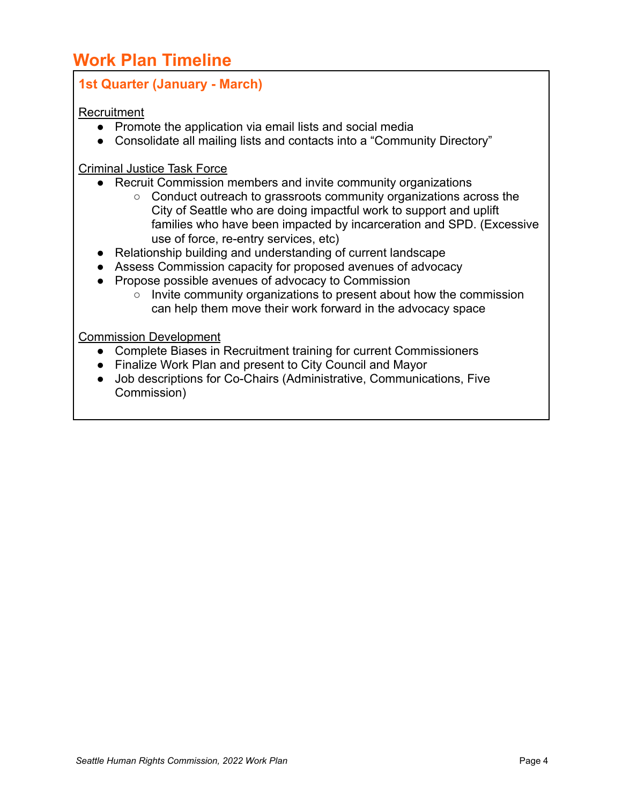# **Work Plan Timeline**

### **1st Quarter (January - March)**

#### **Recruitment**

- Promote the application via email lists and social media
- Consolidate all mailing lists and contacts into a "Community Directory"

#### Criminal Justice Task Force

- Recruit Commission members and invite community organizations
	- Conduct outreach to grassroots community organizations across the City of Seattle who are doing impactful work to support and uplift families who have been impacted by incarceration and SPD. (Excessive use of force, re-entry services, etc)
- Relationship building and understanding of current landscape
- Assess Commission capacity for proposed avenues of advocacy
- Propose possible avenues of advocacy to Commission
	- Invite community organizations to present about how the commission can help them move their work forward in the advocacy space

#### Commission Development

- Complete Biases in Recruitment training for current Commissioners
- Finalize Work Plan and present to City Council and Mayor
- Job descriptions for Co-Chairs (Administrative, Communications, Five Commission)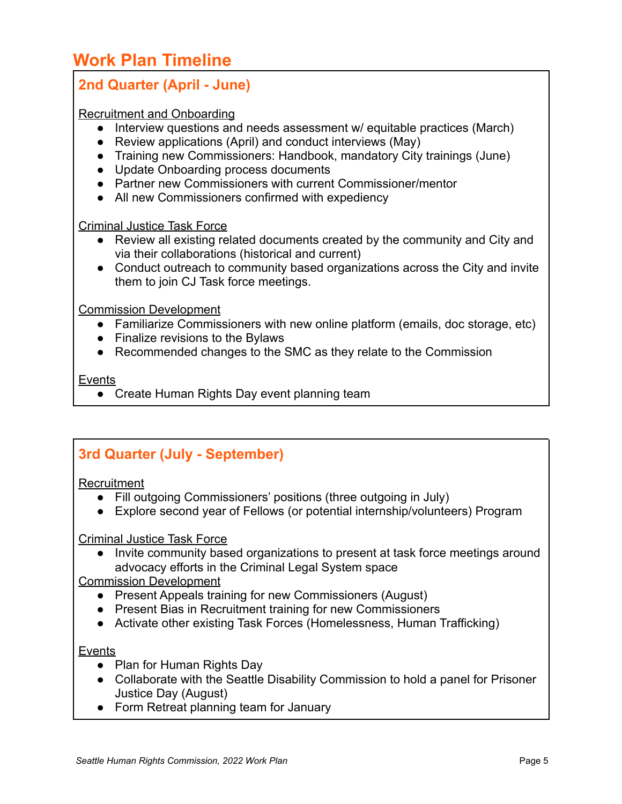# **Work Plan Timeline**

### **2nd Quarter (April - June)**

#### Recruitment and Onboarding

- Interview questions and needs assessment w/ equitable practices (March)
- Review applications (April) and conduct interviews (May)
- Training new Commissioners: Handbook, mandatory City trainings (June)
- Update Onboarding process documents
- Partner new Commissioners with current Commissioner/mentor
- All new Commissioners confirmed with expediency

#### Criminal Justice Task Force

- Review all existing related documents created by the community and City and via their collaborations (historical and current)
- Conduct outreach to community based organizations across the City and invite them to join CJ Task force meetings.

#### Commission Development

- Familiarize Commissioners with new online platform (emails, doc storage, etc)
- Finalize revisions to the Bylaws
- Recommended changes to the SMC as they relate to the Commission

#### **Events**

• Create Human Rights Day event planning team

### **3rd Quarter (July - September)**

#### **Recruitment**

- Fill outgoing Commissioners' positions (three outgoing in July)
- Explore second year of Fellows (or potential internship/volunteers) Program

#### Criminal Justice Task Force

● Invite community based organizations to present at task force meetings around advocacy efforts in the Criminal Legal System space

#### Commission Development

- Present Appeals training for new Commissioners (August)
- Present Bias in Recruitment training for new Commissioners
- Activate other existing Task Forces (Homelessness, Human Trafficking)

#### **Events**

- Plan for Human Rights Day
- Collaborate with the Seattle Disability Commission to hold a panel for Prisoner Justice Day (August)
- Form Retreat planning team for January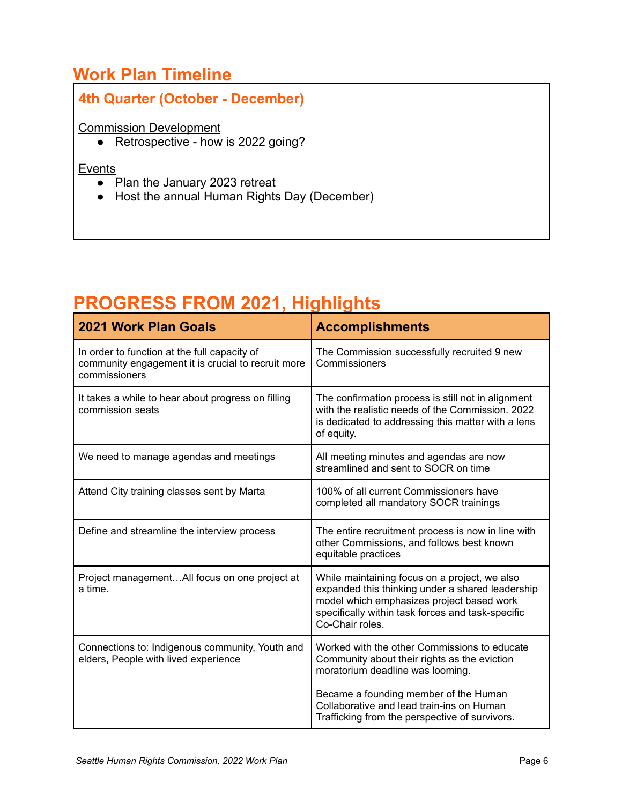## **Work Plan Timeline**

# **4th Quarter (October - December)**

#### Commission Development

• Retrospective - how is 2022 going?

#### **Events**

- $\overline{\bullet}$  Plan the January 2023 retreat
- Host the annual Human Rights Day (December)

# **PROGRESS FROM 2021, Highlights**

| <b>2021 Work Plan Goals</b>                                                                                         | <b>Accomplishments</b>                                                                                                                                                                                                 |
|---------------------------------------------------------------------------------------------------------------------|------------------------------------------------------------------------------------------------------------------------------------------------------------------------------------------------------------------------|
| In order to function at the full capacity of<br>community engagement it is crucial to recruit more<br>commissioners | The Commission successfully recruited 9 new<br>Commissioners                                                                                                                                                           |
| It takes a while to hear about progress on filling<br>commission seats                                              | The confirmation process is still not in alignment<br>with the realistic needs of the Commission, 2022<br>is dedicated to addressing this matter with a lens<br>of equity.                                             |
| We need to manage agendas and meetings                                                                              | All meeting minutes and agendas are now<br>streamlined and sent to SOCR on time                                                                                                                                        |
| Attend City training classes sent by Marta                                                                          | 100% of all current Commissioners have<br>completed all mandatory SOCR trainings                                                                                                                                       |
| Define and streamline the interview process                                                                         | The entire recruitment process is now in line with<br>other Commissions, and follows best known<br>equitable practices                                                                                                 |
| Project managementAll focus on one project at<br>a time.                                                            | While maintaining focus on a project, we also<br>expanded this thinking under a shared leadership<br>model which emphasizes project based work<br>specifically within task forces and task-specific<br>Co-Chair roles. |
| Connections to: Indigenous community, Youth and<br>elders, People with lived experience                             | Worked with the other Commissions to educate<br>Community about their rights as the eviction<br>moratorium deadline was looming.                                                                                       |
|                                                                                                                     | Became a founding member of the Human<br>Collaborative and lead train-ins on Human<br>Trafficking from the perspective of survivors.                                                                                   |